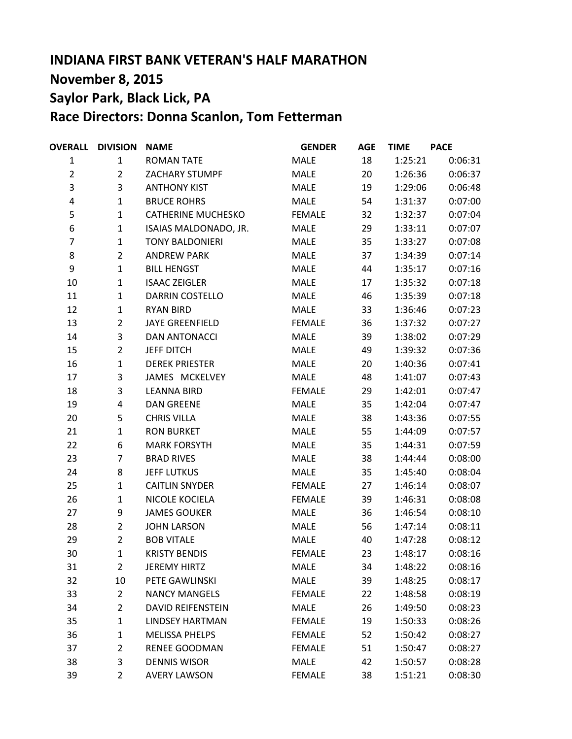# **INDIANA FIRST BANK VETERAN'S HALF MARATHON November 8, 2015 Saylor Park, Black Lick, PA Race Directors: Donna Scanlon, Tom Fetterman**

| <b>OVERALL</b> | <b>DIVISION</b> | <b>NAME</b>               | <b>GENDER</b> | <b>AGE</b> | <b>TIME</b> | <b>PACE</b> |
|----------------|-----------------|---------------------------|---------------|------------|-------------|-------------|
| $\mathbf{1}$   | $\mathbf{1}$    | <b>ROMAN TATE</b>         | MALE          | 18         | 1:25:21     | 0:06:31     |
| $\overline{2}$ | $\overline{2}$  | <b>ZACHARY STUMPF</b>     | MALE          | 20         | 1:26:36     | 0:06:37     |
| 3              | 3               | <b>ANTHONY KIST</b>       | MALE          | 19         | 1:29:06     | 0:06:48     |
| 4              | $\mathbf{1}$    | <b>BRUCE ROHRS</b>        | MALE          | 54         | 1:31:37     | 0:07:00     |
| 5              | $\mathbf{1}$    | <b>CATHERINE MUCHESKO</b> | <b>FEMALE</b> | 32         | 1:32:37     | 0:07:04     |
| 6              | $\mathbf{1}$    | ISAIAS MALDONADO, JR.     | MALE          | 29         | 1:33:11     | 0:07:07     |
| $\overline{7}$ | $\mathbf{1}$    | <b>TONY BALDONIERI</b>    | MALE          | 35         | 1:33:27     | 0:07:08     |
| 8              | $\overline{2}$  | <b>ANDREW PARK</b>        | MALE          | 37         | 1:34:39     | 0:07:14     |
| 9              | $\mathbf{1}$    | <b>BILL HENGST</b>        | MALE          | 44         | 1:35:17     | 0:07:16     |
| 10             | $\mathbf{1}$    | <b>ISAAC ZEIGLER</b>      | MALE          | 17         | 1:35:32     | 0:07:18     |
| 11             | $\mathbf{1}$    | DARRIN COSTELLO           | MALE          | 46         | 1:35:39     | 0:07:18     |
| 12             | $\mathbf{1}$    | <b>RYAN BIRD</b>          | MALE          | 33         | 1:36:46     | 0:07:23     |
| 13             | $\overline{2}$  | <b>JAYE GREENFIELD</b>    | <b>FEMALE</b> | 36         | 1:37:32     | 0:07:27     |
| 14             | 3               | <b>DAN ANTONACCI</b>      | MALE          | 39         | 1:38:02     | 0:07:29     |
| 15             | $\overline{2}$  | <b>JEFF DITCH</b>         | MALE          | 49         | 1:39:32     | 0:07:36     |
| 16             | $\mathbf{1}$    | <b>DEREK PRIESTER</b>     | MALE          | 20         | 1:40:36     | 0:07:41     |
| 17             | 3               | JAMES MCKELVEY            | MALE          | 48         | 1:41:07     | 0:07:43     |
| 18             | 3               | <b>LEANNA BIRD</b>        | <b>FEMALE</b> | 29         | 1:42:01     | 0:07:47     |
| 19             | 4               | <b>DAN GREENE</b>         | MALE          | 35         | 1:42:04     | 0:07:47     |
| 20             | 5               | <b>CHRIS VILLA</b>        | MALE          | 38         | 1:43:36     | 0:07:55     |
| 21             | $\mathbf{1}$    | <b>RON BURKET</b>         | MALE          | 55         | 1:44:09     | 0:07:57     |
| 22             | 6               | <b>MARK FORSYTH</b>       | MALE          | 35         | 1:44:31     | 0:07:59     |
| 23             | $\overline{7}$  | <b>BRAD RIVES</b>         | MALE          | 38         | 1:44:44     | 0:08:00     |
| 24             | 8               | <b>JEFF LUTKUS</b>        | MALE          | 35         | 1:45:40     | 0:08:04     |
| 25             | $\mathbf{1}$    | <b>CAITLIN SNYDER</b>     | <b>FEMALE</b> | 27         | 1:46:14     | 0:08:07     |
| 26             | $\mathbf{1}$    | NICOLE KOCIELA            | <b>FEMALE</b> | 39         | 1:46:31     | 0:08:08     |
| 27             | 9               | <b>JAMES GOUKER</b>       | MALE          | 36         | 1:46:54     | 0:08:10     |
| 28             | $\overline{2}$  | <b>JOHN LARSON</b>        | MALE          | 56         | 1:47:14     | 0:08:11     |
| 29             | $\overline{2}$  | <b>BOB VITALE</b>         | MALE          | 40         | 1:47:28     | 0:08:12     |
| 30             | $\mathbf{1}$    | <b>KRISTY BENDIS</b>      | <b>FEMALE</b> | 23         | 1:48:17     | 0:08:16     |
| 31             | $\overline{2}$  | <b>JEREMY HIRTZ</b>       | <b>MALE</b>   | 34         | 1:48:22     | 0:08:16     |
| 32             | 10              | PETE GAWLINSKI            | MALE          | 39         | 1:48:25     | 0:08:17     |
| 33             | $\overline{2}$  | <b>NANCY MANGELS</b>      | <b>FEMALE</b> | 22         | 1:48:58     | 0:08:19     |
| 34             | $\overline{2}$  | <b>DAVID REIFENSTEIN</b>  | MALE          | 26         | 1:49:50     | 0:08:23     |
| 35             | $\mathbf{1}$    | <b>LINDSEY HARTMAN</b>    | <b>FEMALE</b> | 19         | 1:50:33     | 0:08:26     |
| 36             | $\mathbf{1}$    | <b>MELISSA PHELPS</b>     | <b>FEMALE</b> | 52         | 1:50:42     | 0:08:27     |
| 37             | $\overline{2}$  | <b>RENEE GOODMAN</b>      | <b>FEMALE</b> | 51         | 1:50:47     | 0:08:27     |
| 38             | 3               | <b>DENNIS WISOR</b>       | MALE          | 42         | 1:50:57     | 0:08:28     |
| 39             | $\overline{2}$  | <b>AVERY LAWSON</b>       | <b>FEMALE</b> | 38         | 1:51:21     | 0:08:30     |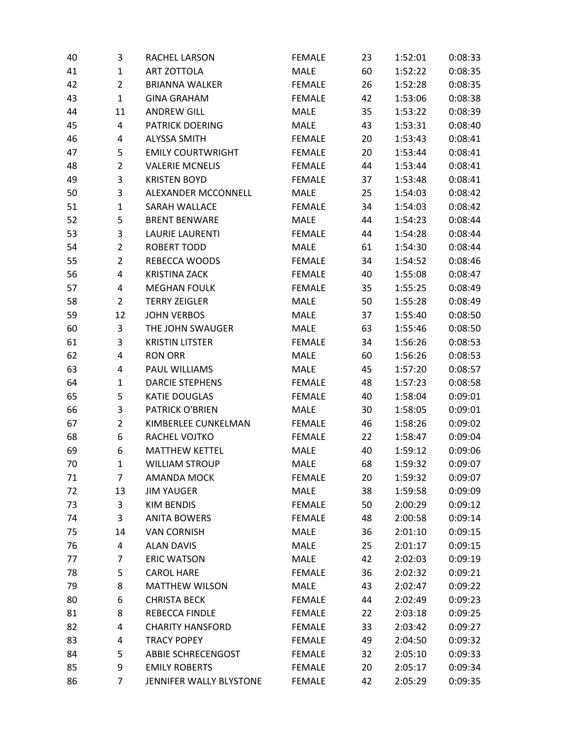| 40 | 3              | RACHEL LARSON            | <b>FEMALE</b> | 23 | 1:52:01 | 0:08:33 |
|----|----------------|--------------------------|---------------|----|---------|---------|
| 41 | $\mathbf{1}$   | <b>ART ZOTTOLA</b>       | <b>MALE</b>   | 60 | 1:52:22 | 0:08:35 |
| 42 | $\overline{2}$ | <b>BRIANNA WALKER</b>    | <b>FEMALE</b> | 26 | 1:52:28 | 0:08:35 |
| 43 | $\mathbf{1}$   | <b>GINA GRAHAM</b>       | <b>FEMALE</b> | 42 | 1:53:06 | 0:08:38 |
| 44 | 11             | <b>ANDREW GILL</b>       | <b>MALE</b>   | 35 | 1:53:22 | 0:08:39 |
| 45 | 4              | <b>PATRICK DOERING</b>   | <b>MALE</b>   | 43 | 1:53:31 | 0:08:40 |
| 46 | 4              | <b>ALYSSA SMITH</b>      | <b>FEMALE</b> | 20 | 1:53:43 | 0:08:41 |
| 47 | 5              | <b>EMILY COURTWRIGHT</b> | <b>FEMALE</b> | 20 | 1:53:44 | 0:08:41 |
| 48 | $\overline{2}$ | <b>VALERIE MCNELIS</b>   | <b>FEMALE</b> | 44 | 1:53:44 | 0:08:41 |
| 49 | 3              | <b>KRISTEN BOYD</b>      | <b>FEMALE</b> | 37 | 1:53:48 | 0:08:41 |
| 50 | 3              | ALEXANDER MCCONNELL      | <b>MALE</b>   | 25 | 1:54:03 | 0:08:42 |
| 51 | $\mathbf 1$    | <b>SARAH WALLACE</b>     | <b>FEMALE</b> | 34 | 1:54:03 | 0:08:42 |
| 52 | 5              | <b>BRENT BENWARE</b>     | <b>MALE</b>   | 44 | 1:54:23 | 0:08:44 |
| 53 | 3              | <b>LAURIE LAURENTI</b>   | <b>FEMALE</b> | 44 | 1:54:28 | 0:08:44 |
| 54 | $\overline{2}$ | <b>ROBERT TODD</b>       | <b>MALE</b>   | 61 | 1:54:30 | 0:08:44 |
| 55 | $\overline{2}$ | REBECCA WOODS            | <b>FEMALE</b> | 34 | 1:54:52 | 0:08:46 |
| 56 | 4              | <b>KRISTINA ZACK</b>     | <b>FEMALE</b> | 40 | 1:55:08 | 0:08:47 |
| 57 | 4              | <b>MEGHAN FOULK</b>      | <b>FEMALE</b> | 35 | 1:55:25 | 0:08:49 |
| 58 | $\overline{2}$ | <b>TERRY ZEIGLER</b>     | <b>MALE</b>   | 50 | 1:55:28 | 0:08:49 |
| 59 | 12             | <b>JOHN VERBOS</b>       | <b>MALE</b>   | 37 | 1:55:40 | 0:08:50 |
| 60 | 3              | THE JOHN SWAUGER         | <b>MALE</b>   | 63 | 1:55:46 | 0:08:50 |
| 61 | 3              | <b>KRISTIN LITSTER</b>   | <b>FEMALE</b> | 34 | 1:56:26 | 0:08:53 |
| 62 | 4              | <b>RON ORR</b>           | <b>MALE</b>   | 60 | 1:56:26 | 0:08:53 |
| 63 | 4              | PAUL WILLIAMS            | <b>MALE</b>   | 45 | 1:57:20 | 0:08:57 |
| 64 | $\mathbf{1}$   | <b>DARCIE STEPHENS</b>   | <b>FEMALE</b> | 48 | 1:57:23 | 0:08:58 |
| 65 | 5              | <b>KATIE DOUGLAS</b>     | <b>FEMALE</b> | 40 | 1:58:04 | 0:09:01 |
| 66 | 3              | PATRICK O'BRIEN          | <b>MALE</b>   | 30 | 1:58:05 | 0:09:01 |
| 67 | $\overline{2}$ | KIMBERLEE CUNKELMAN      | <b>FEMALE</b> | 46 | 1:58:26 | 0:09:02 |
| 68 | 6              | RACHEL VOJTKO            | <b>FEMALE</b> | 22 | 1:58:47 | 0:09:04 |
| 69 | 6              | <b>MATTHEW KETTEL</b>    | <b>MALE</b>   | 40 | 1:59:12 | 0:09:06 |
| 70 | $\mathbf{1}$   | <b>WILLIAM STROUP</b>    | <b>MALE</b>   | 68 | 1:59:32 | 0:09:07 |
| 71 | 7              | <b>AMANDA MOCK</b>       | <b>FEMALE</b> | 20 | 1:59:32 | 0:09:07 |
| 72 | 13             | <b>JIM YAUGER</b>        | <b>MALE</b>   | 38 | 1:59:58 | 0:09:09 |
| 73 | 3              | <b>KIM BENDIS</b>        | <b>FEMALE</b> | 50 | 2:00:29 | 0:09:12 |
| 74 | 3              | <b>ANITA BOWERS</b>      | <b>FEMALE</b> | 48 | 2:00:58 | 0:09:14 |
| 75 | 14             | <b>VAN CORNISH</b>       | <b>MALE</b>   | 36 | 2:01:10 | 0:09:15 |
| 76 | 4              | <b>ALAN DAVIS</b>        | <b>MALE</b>   | 25 | 2:01:17 | 0:09:15 |
| 77 | 7              | <b>ERIC WATSON</b>       | MALE          | 42 | 2:02:03 | 0:09:19 |
| 78 | 5              | <b>CAROL HARE</b>        | <b>FEMALE</b> | 36 | 2:02:32 | 0:09:21 |
| 79 | 8              | <b>MATTHEW WILSON</b>    | <b>MALE</b>   | 43 | 2:02:47 | 0:09:22 |
| 80 | 6              | <b>CHRISTA BECK</b>      | <b>FEMALE</b> | 44 | 2:02:49 | 0:09:23 |
| 81 | 8              | REBECCA FINDLE           | <b>FEMALE</b> | 22 | 2:03:18 | 0:09:25 |
| 82 | 4              | <b>CHARITY HANSFORD</b>  | <b>FEMALE</b> | 33 | 2:03:42 | 0:09:27 |
| 83 | 4              | <b>TRACY POPEY</b>       | <b>FEMALE</b> | 49 | 2:04:50 | 0:09:32 |
| 84 | 5              | ABBIE SCHRECENGOST       | <b>FEMALE</b> | 32 | 2:05:10 | 0:09:33 |
| 85 | 9              | <b>EMILY ROBERTS</b>     | <b>FEMALE</b> | 20 | 2:05:17 | 0:09:34 |
| 86 | 7              | JENNIFER WALLY BLYSTONE  | <b>FEMALE</b> | 42 | 2:05:29 | 0:09:35 |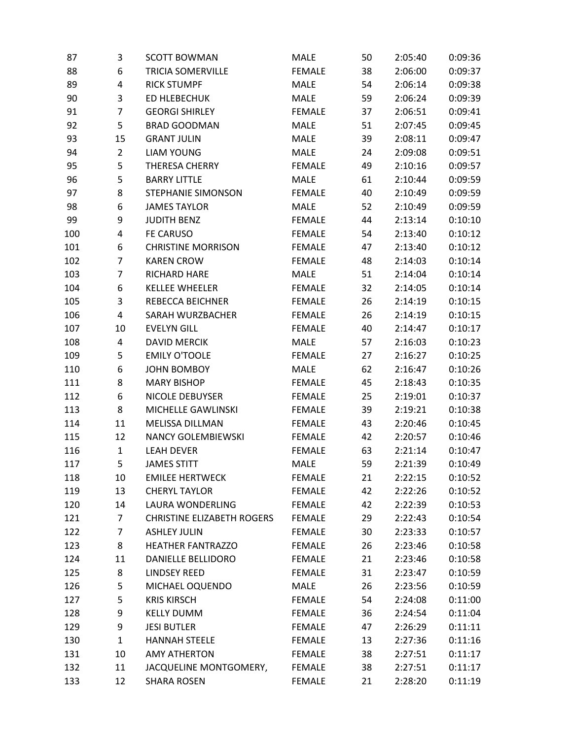| 87  | 3              | <b>SCOTT BOWMAN</b>               | <b>MALE</b>   | 50 | 2:05:40 | 0:09:36 |
|-----|----------------|-----------------------------------|---------------|----|---------|---------|
| 88  | 6              | <b>TRICIA SOMERVILLE</b>          | <b>FEMALE</b> | 38 | 2:06:00 | 0:09:37 |
| 89  | 4              | <b>RICK STUMPF</b>                | <b>MALE</b>   | 54 | 2:06:14 | 0:09:38 |
| 90  | 3              | <b>ED HLEBECHUK</b>               | <b>MALE</b>   | 59 | 2:06:24 | 0:09:39 |
| 91  | 7              | <b>GEORGI SHIRLEY</b>             | <b>FEMALE</b> | 37 | 2:06:51 | 0:09:41 |
| 92  | 5              | <b>BRAD GOODMAN</b>               | MALE          | 51 | 2:07:45 | 0:09:45 |
| 93  | 15             | <b>GRANT JULIN</b>                | <b>MALE</b>   | 39 | 2:08:11 | 0:09:47 |
| 94  | $\overline{2}$ | <b>LIAM YOUNG</b>                 | MALE          | 24 | 2:09:08 | 0:09:51 |
| 95  | 5              | THERESA CHERRY                    | <b>FEMALE</b> | 49 | 2:10:16 | 0:09:57 |
| 96  | 5              | <b>BARRY LITTLE</b>               | MALE          | 61 | 2:10:44 | 0:09:59 |
| 97  | 8              | <b>STEPHANIE SIMONSON</b>         | <b>FEMALE</b> | 40 | 2:10:49 | 0:09:59 |
| 98  | 6              | <b>JAMES TAYLOR</b>               | <b>MALE</b>   | 52 | 2:10:49 | 0:09:59 |
| 99  | 9              | <b>JUDITH BENZ</b>                | <b>FEMALE</b> | 44 | 2:13:14 | 0:10:10 |
| 100 | 4              | <b>FE CARUSO</b>                  | <b>FEMALE</b> | 54 | 2:13:40 | 0:10:12 |
| 101 | 6              | <b>CHRISTINE MORRISON</b>         | <b>FEMALE</b> | 47 | 2:13:40 | 0:10:12 |
| 102 | 7              | <b>KAREN CROW</b>                 | <b>FEMALE</b> | 48 | 2:14:03 | 0:10:14 |
| 103 | 7              | RICHARD HARE                      | <b>MALE</b>   | 51 | 2:14:04 | 0:10:14 |
| 104 | 6              | <b>KELLEE WHEELER</b>             | <b>FEMALE</b> | 32 | 2:14:05 | 0:10:14 |
| 105 | 3              | <b>REBECCA BEICHNER</b>           | <b>FEMALE</b> | 26 | 2:14:19 | 0:10:15 |
| 106 | 4              | SARAH WURZBACHER                  | <b>FEMALE</b> | 26 | 2:14:19 | 0:10:15 |
| 107 | 10             | <b>EVELYN GILL</b>                | <b>FEMALE</b> | 40 | 2:14:47 | 0:10:17 |
| 108 | 4              | <b>DAVID MERCIK</b>               | <b>MALE</b>   | 57 | 2:16:03 | 0:10:23 |
| 109 | 5              | <b>EMILY O'TOOLE</b>              | <b>FEMALE</b> | 27 | 2:16:27 | 0:10:25 |
| 110 | 6              | <b>JOHN BOMBOY</b>                | MALE          | 62 | 2:16:47 | 0:10:26 |
| 111 | 8              | <b>MARY BISHOP</b>                | <b>FEMALE</b> | 45 | 2:18:43 | 0:10:35 |
| 112 | 6              | <b>NICOLE DEBUYSER</b>            | <b>FEMALE</b> | 25 | 2:19:01 | 0:10:37 |
| 113 | 8              | MICHELLE GAWLINSKI                | <b>FEMALE</b> | 39 | 2:19:21 | 0:10:38 |
| 114 | 11             | <b>MELISSA DILLMAN</b>            | <b>FEMALE</b> | 43 | 2:20:46 | 0:10:45 |
| 115 | 12             | <b>NANCY GOLEMBIEWSKI</b>         | <b>FEMALE</b> | 42 | 2:20:57 | 0:10:46 |
| 116 | $\mathbf{1}$   | <b>LEAH DEVER</b>                 | <b>FEMALE</b> | 63 | 2:21:14 | 0:10:47 |
| 117 | 5              | <b>JAMES STITT</b>                | MALE          | 59 | 2:21:39 | 0:10:49 |
| 118 | 10             | <b>EMILEE HERTWECK</b>            | <b>FEMALE</b> | 21 | 2:22:15 | 0:10:52 |
| 119 | 13             | <b>CHERYL TAYLOR</b>              | <b>FEMALE</b> | 42 | 2:22:26 | 0:10:52 |
| 120 | 14             | LAURA WONDERLING                  | <b>FEMALE</b> | 42 | 2:22:39 | 0:10:53 |
| 121 | $\overline{7}$ | <b>CHRISTINE ELIZABETH ROGERS</b> | <b>FEMALE</b> | 29 | 2:22:43 | 0:10:54 |
| 122 | 7              | <b>ASHLEY JULIN</b>               | <b>FEMALE</b> | 30 | 2:23:33 | 0:10:57 |
| 123 | 8              | <b>HEATHER FANTRAZZO</b>          | <b>FEMALE</b> | 26 | 2:23:46 | 0:10:58 |
| 124 | 11             | DANIELLE BELLIDORO                | <b>FEMALE</b> | 21 | 2:23:46 | 0:10:58 |
| 125 | 8              | <b>LINDSEY REED</b>               | <b>FEMALE</b> | 31 | 2:23:47 | 0:10:59 |
| 126 | 5              | MICHAEL OQUENDO                   | MALE          | 26 | 2:23:56 | 0:10:59 |
| 127 | 5              | <b>KRIS KIRSCH</b>                | <b>FEMALE</b> | 54 | 2:24:08 | 0:11:00 |
| 128 | 9              | <b>KELLY DUMM</b>                 | <b>FEMALE</b> | 36 | 2:24:54 | 0:11:04 |
| 129 | 9              | <b>JESI BUTLER</b>                | <b>FEMALE</b> | 47 | 2:26:29 | 0:11:11 |
| 130 | $\mathbf{1}$   | <b>HANNAH STEELE</b>              | <b>FEMALE</b> | 13 | 2:27:36 | 0:11:16 |
| 131 | 10             | <b>AMY ATHERTON</b>               | <b>FEMALE</b> | 38 | 2:27:51 | 0:11:17 |
| 132 | 11             | JACQUELINE MONTGOMERY,            | <b>FEMALE</b> | 38 | 2:27:51 | 0:11:17 |
| 133 | 12             | <b>SHARA ROSEN</b>                | <b>FEMALE</b> | 21 | 2:28:20 | 0:11:19 |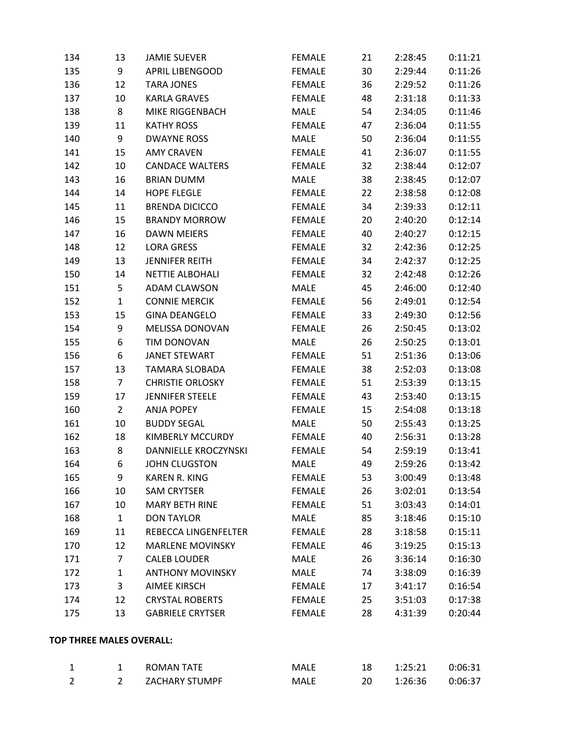| 134                      | 13             | <b>JAMIE SUEVER</b>         | <b>FEMALE</b> | 21 | 2:28:45 | 0:11:21 |
|--------------------------|----------------|-----------------------------|---------------|----|---------|---------|
| 135                      | 9              | <b>APRIL LIBENGOOD</b>      | <b>FEMALE</b> | 30 | 2:29:44 | 0:11:26 |
| 136                      | 12             | <b>TARA JONES</b>           | <b>FEMALE</b> | 36 | 2:29:52 | 0:11:26 |
| 137                      | 10             | <b>KARLA GRAVES</b>         | <b>FEMALE</b> | 48 | 2:31:18 | 0:11:33 |
| 138                      | 8              | MIKE RIGGENBACH             | <b>MALE</b>   | 54 | 2:34:05 | 0:11:46 |
| 139                      | 11             | <b>KATHY ROSS</b>           | <b>FEMALE</b> | 47 | 2:36:04 | 0:11:55 |
| 140                      | 9              | <b>DWAYNE ROSS</b>          | MALE          | 50 | 2:36:04 | 0:11:55 |
| 141                      | 15             | <b>AMY CRAVEN</b>           | <b>FEMALE</b> | 41 | 2:36:07 | 0:11:55 |
| 142                      | 10             | <b>CANDACE WALTERS</b>      | <b>FEMALE</b> | 32 | 2:38:44 | 0:12:07 |
| 143                      | 16             | <b>BRIAN DUMM</b>           | <b>MALE</b>   | 38 | 2:38:45 | 0:12:07 |
| 144                      | 14             | <b>HOPE FLEGLE</b>          | <b>FEMALE</b> | 22 | 2:38:58 | 0:12:08 |
| 145                      | 11             | <b>BRENDA DICICCO</b>       | <b>FEMALE</b> | 34 | 2:39:33 | 0:12:11 |
| 146                      | 15             | <b>BRANDY MORROW</b>        | <b>FEMALE</b> | 20 | 2:40:20 | 0:12:14 |
| 147                      | 16             | <b>DAWN MEIERS</b>          | <b>FEMALE</b> | 40 | 2:40:27 | 0:12:15 |
| 148                      | 12             | <b>LORA GRESS</b>           | <b>FEMALE</b> | 32 | 2:42:36 | 0:12:25 |
| 149                      | 13             | <b>JENNIFER REITH</b>       | <b>FEMALE</b> | 34 | 2:42:37 | 0:12:25 |
| 150                      | 14             | <b>NETTIE ALBOHALI</b>      | <b>FEMALE</b> | 32 | 2:42:48 | 0:12:26 |
| 151                      | 5              | <b>ADAM CLAWSON</b>         | MALE          | 45 | 2:46:00 | 0:12:40 |
| 152                      | $\mathbf{1}$   | <b>CONNIE MERCIK</b>        | <b>FEMALE</b> | 56 | 2:49:01 | 0:12:54 |
| 153                      | 15             | <b>GINA DEANGELO</b>        | <b>FEMALE</b> | 33 | 2:49:30 | 0:12:56 |
| 154                      | 9              | MELISSA DONOVAN             | <b>FEMALE</b> | 26 | 2:50:45 | 0:13:02 |
| 155                      | 6              | TIM DONOVAN                 | <b>MALE</b>   | 26 | 2:50:25 | 0:13:01 |
| 156                      | 6              | <b>JANET STEWART</b>        | <b>FEMALE</b> | 51 | 2:51:36 | 0:13:06 |
| 157                      | 13             | <b>TAMARA SLOBADA</b>       | <b>FEMALE</b> | 38 | 2:52:03 | 0:13:08 |
| 158                      | $\overline{7}$ | <b>CHRISTIE ORLOSKY</b>     | <b>FEMALE</b> | 51 | 2:53:39 | 0:13:15 |
| 159                      | 17             | <b>JENNIFER STEELE</b>      | <b>FEMALE</b> | 43 | 2:53:40 | 0:13:15 |
| 160                      | $\overline{2}$ | ANJA POPEY                  | <b>FEMALE</b> | 15 | 2:54:08 | 0:13:18 |
| 161                      | 10             | <b>BUDDY SEGAL</b>          | <b>MALE</b>   | 50 | 2:55:43 | 0:13:25 |
| 162                      | 18             | KIMBERLY MCCURDY            | <b>FEMALE</b> | 40 | 2:56:31 | 0:13:28 |
| 163                      | 8              | <b>DANNIELLE KROCZYNSKI</b> | <b>FEMALE</b> | 54 | 2:59:19 | 0:13:41 |
| 164                      | 6              | <b>JOHN CLUGSTON</b>        | <b>MALE</b>   | 49 | 2:59:26 | 0:13:42 |
| 165                      | 9              | <b>KAREN R. KING</b>        | <b>FEMALE</b> | 53 | 3:00:49 | 0:13:48 |
| 166                      | 10             | <b>SAM CRYTSER</b>          | <b>FEMALE</b> | 26 | 3:02:01 | 0:13:54 |
| 167                      | 10             | <b>MARY BETH RINE</b>       | <b>FEMALE</b> | 51 | 3:03:43 | 0:14:01 |
| 168                      | $\mathbf{1}$   | <b>DON TAYLOR</b>           | MALE          | 85 | 3:18:46 | 0:15:10 |
| 169                      | 11             | REBECCA LINGENFELTER        | <b>FEMALE</b> | 28 | 3:18:58 | 0:15:11 |
| 170                      | 12             | <b>MARLENE MOVINSKY</b>     | <b>FEMALE</b> | 46 | 3:19:25 | 0:15:13 |
| 171                      | 7              | <b>CALEB LOUDER</b>         | MALE          | 26 | 3:36:14 | 0:16:30 |
| 172                      | $\mathbf{1}$   | <b>ANTHONY MOVINSKY</b>     | MALE          | 74 | 3:38:09 | 0:16:39 |
| 173                      | 3              | <b>AIMEE KIRSCH</b>         | <b>FEMALE</b> | 17 | 3:41:17 | 0:16:54 |
| 174                      | 12             | <b>CRYSTAL ROBERTS</b>      | <b>FEMALE</b> | 25 | 3:51:03 | 0:17:38 |
| 175                      | 13             | <b>GABRIELE CRYTSER</b>     | <b>FEMALE</b> | 28 | 4:31:39 | 0:20:44 |
| TOP THREE MALES OVERALL: |                |                             |               |    |         |         |
|                          |                |                             |               |    |         |         |

|  | ROMAN TATE     | MALE | 1:25:21 | 0:06:31 |
|--|----------------|------|---------|---------|
|  | ZACHARY STUMPF | MALE | 1:26:36 | 0:06:37 |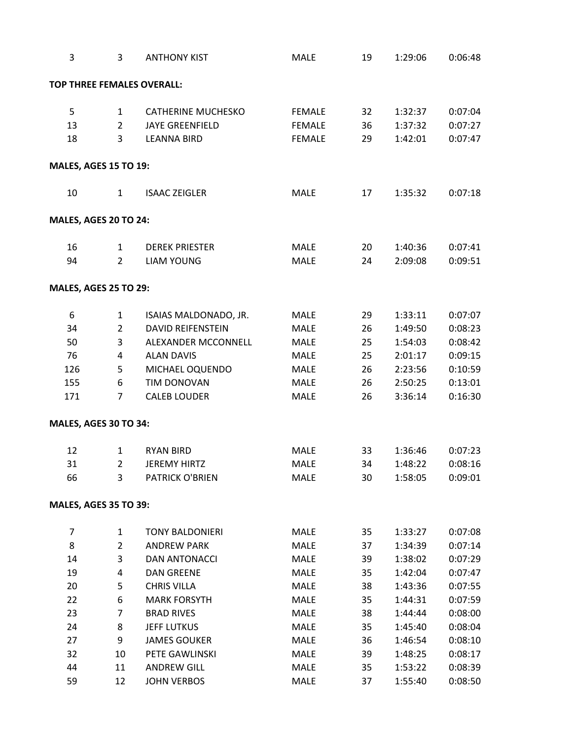| 3                            | 3              | <b>ANTHONY KIST</b>               | MALE          | 19 | 1:29:06 | 0:06:48 |
|------------------------------|----------------|-----------------------------------|---------------|----|---------|---------|
|                              |                | <b>TOP THREE FEMALES OVERALL:</b> |               |    |         |         |
| 5                            | $\mathbf{1}$   | <b>CATHERINE MUCHESKO</b>         | <b>FEMALE</b> | 32 | 1:32:37 | 0:07:04 |
| 13                           | $\overline{2}$ | <b>JAYE GREENFIELD</b>            | <b>FEMALE</b> | 36 | 1:37:32 | 0:07:27 |
| 18                           | 3              | <b>LEANNA BIRD</b>                | <b>FEMALE</b> | 29 | 1:42:01 | 0:07:47 |
|                              |                |                                   |               |    |         |         |
| <b>MALES, AGES 15 TO 19:</b> |                |                                   |               |    |         |         |
| 10                           | $\mathbf{1}$   | <b>ISAAC ZEIGLER</b>              | <b>MALE</b>   | 17 | 1:35:32 | 0:07:18 |
| MALES, AGES 20 TO 24:        |                |                                   |               |    |         |         |
| 16                           | 1              | <b>DEREK PRIESTER</b>             | <b>MALE</b>   | 20 | 1:40:36 | 0:07:41 |
| 94                           | $\overline{2}$ | <b>LIAM YOUNG</b>                 | <b>MALE</b>   | 24 | 2:09:08 | 0:09:51 |
| <b>MALES, AGES 25 TO 29:</b> |                |                                   |               |    |         |         |
| 6                            | $\mathbf{1}$   | ISAIAS MALDONADO, JR.             | <b>MALE</b>   | 29 | 1:33:11 | 0:07:07 |
| 34                           | $\overline{2}$ | <b>DAVID REIFENSTEIN</b>          | <b>MALE</b>   | 26 | 1:49:50 | 0:08:23 |
| 50                           | 3              | ALEXANDER MCCONNELL               | <b>MALE</b>   | 25 | 1:54:03 | 0:08:42 |
| 76                           | 4              | <b>ALAN DAVIS</b>                 | MALE          | 25 | 2:01:17 | 0:09:15 |
| 126                          | 5              | MICHAEL OQUENDO                   | <b>MALE</b>   | 26 | 2:23:56 | 0:10:59 |
| 155                          | 6              | TIM DONOVAN                       | MALE          | 26 | 2:50:25 | 0:13:01 |
| 171                          | 7              | <b>CALEB LOUDER</b>               | <b>MALE</b>   | 26 | 3:36:14 | 0:16:30 |
| MALES, AGES 30 TO 34:        |                |                                   |               |    |         |         |
| 12                           | $\mathbf{1}$   | <b>RYAN BIRD</b>                  | <b>MALE</b>   | 33 | 1:36:46 | 0:07:23 |
| 31                           | $\mathbf{2}$   | <b>JEREMY HIRTZ</b>               | MALE          | 34 | 1:48:22 | 0:08:16 |
| 66                           | 3              | <b>PATRICK O'BRIEN</b>            | MALE          | 30 | 1:58:05 | 0:09:01 |
| <b>MALES, AGES 35 TO 39:</b> |                |                                   |               |    |         |         |
| 7                            | 1              | <b>TONY BALDONIERI</b>            | MALE          | 35 | 1:33:27 | 0:07:08 |
| 8                            | $\overline{2}$ | <b>ANDREW PARK</b>                | MALE          | 37 | 1:34:39 | 0:07:14 |
| 14                           | 3              | <b>DAN ANTONACCI</b>              | MALE          | 39 | 1:38:02 | 0:07:29 |
| 19                           | 4              | <b>DAN GREENE</b>                 | MALE          | 35 | 1:42:04 | 0:07:47 |
| 20                           | 5              | <b>CHRIS VILLA</b>                | MALE          | 38 | 1:43:36 | 0:07:55 |
| 22                           | 6              | <b>MARK FORSYTH</b>               | MALE          | 35 | 1:44:31 | 0:07:59 |
| 23                           | 7              | <b>BRAD RIVES</b>                 | MALE          | 38 | 1:44:44 | 0:08:00 |
| 24                           | 8              | <b>JEFF LUTKUS</b>                | MALE          | 35 | 1:45:40 | 0:08:04 |
| 27                           | 9              | <b>JAMES GOUKER</b>               | MALE          | 36 | 1:46:54 | 0:08:10 |
| 32                           | 10             | PETE GAWLINSKI                    | MALE          | 39 | 1:48:25 | 0:08:17 |
| 44                           | 11             | <b>ANDREW GILL</b>                | MALE          | 35 | 1:53:22 | 0:08:39 |
| 59                           | 12             | <b>JOHN VERBOS</b>                | MALE          | 37 | 1:55:40 | 0:08:50 |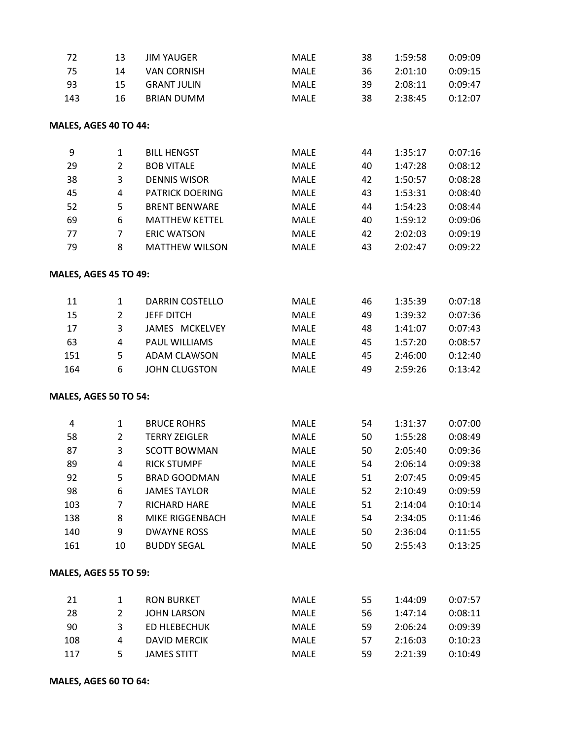| 72                           | 13             | <b>JIM YAUGER</b>      | MALE        | 38 | 1:59:58 | 0:09:09 |
|------------------------------|----------------|------------------------|-------------|----|---------|---------|
| 75                           | 14             | <b>VAN CORNISH</b>     | MALE        | 36 | 2:01:10 | 0:09:15 |
| 93                           | 15             | <b>GRANT JULIN</b>     | MALE        | 39 | 2:08:11 | 0:09:47 |
| 143                          | 16             | <b>BRIAN DUMM</b>      | MALE        | 38 | 2:38:45 | 0:12:07 |
| MALES, AGES 40 TO 44:        |                |                        |             |    |         |         |
| 9                            | $\mathbf{1}$   | <b>BILL HENGST</b>     | MALE        | 44 | 1:35:17 | 0:07:16 |
| 29                           | $\overline{2}$ | <b>BOB VITALE</b>      | MALE        | 40 | 1:47:28 | 0:08:12 |
| 38                           | 3              | <b>DENNIS WISOR</b>    | MALE        | 42 | 1:50:57 | 0:08:28 |
| 45                           | 4              | PATRICK DOERING        | MALE        | 43 | 1:53:31 | 0:08:40 |
| 52                           | 5              | <b>BRENT BENWARE</b>   | MALE        | 44 | 1:54:23 | 0:08:44 |
| 69                           | 6              | <b>MATTHEW KETTEL</b>  | MALE        | 40 | 1:59:12 | 0:09:06 |
| 77                           | $\overline{7}$ | <b>ERIC WATSON</b>     | MALE        | 42 | 2:02:03 | 0:09:19 |
| 79                           | 8              | <b>MATTHEW WILSON</b>  | MALE        | 43 | 2:02:47 | 0:09:22 |
| MALES, AGES 45 TO 49:        |                |                        |             |    |         |         |
| 11                           | 1              | <b>DARRIN COSTELLO</b> | MALE        | 46 | 1:35:39 | 0:07:18 |
| 15                           | $\overline{2}$ | <b>JEFF DITCH</b>      | <b>MALE</b> | 49 | 1:39:32 | 0:07:36 |
| 17                           | 3              | JAMES MCKELVEY         | MALE        | 48 | 1:41:07 | 0:07:43 |
| 63                           | 4              | PAUL WILLIAMS          | MALE        | 45 | 1:57:20 | 0:08:57 |
| 151                          | 5              | <b>ADAM CLAWSON</b>    | MALE        | 45 | 2:46:00 | 0:12:40 |
| 164                          | 6              | <b>JOHN CLUGSTON</b>   | MALE        | 49 | 2:59:26 | 0:13:42 |
| MALES, AGES 50 TO 54:        |                |                        |             |    |         |         |
| 4                            | $\mathbf{1}$   | <b>BRUCE ROHRS</b>     | MALE        | 54 | 1:31:37 | 0:07:00 |
| 58                           | $\overline{2}$ | <b>TERRY ZEIGLER</b>   | MALE        | 50 | 1:55:28 | 0:08:49 |
| 87                           | 3              | <b>SCOTT BOWMAN</b>    | MALE        | 50 | 2:05:40 | 0:09:36 |
| 89                           | 4              | <b>RICK STUMPF</b>     | <b>MALE</b> | 54 | 2:06:14 | 0:09:38 |
| 92                           | 5              | <b>BRAD GOODMAN</b>    | <b>MALE</b> | 51 | 2:07:45 | 0:09:45 |
| 98                           | 6              | <b>JAMES TAYLOR</b>    | MALE        | 52 | 2:10:49 | 0:09:59 |
| 103                          | 7              | RICHARD HARE           | MALE        | 51 | 2:14:04 | 0:10:14 |
| 138                          | 8              | MIKE RIGGENBACH        | MALE        | 54 | 2:34:05 | 0:11:46 |
| 140                          | 9              | <b>DWAYNE ROSS</b>     | MALE        | 50 | 2:36:04 | 0:11:55 |
| 161                          | 10             | <b>BUDDY SEGAL</b>     | MALE        | 50 | 2:55:43 | 0:13:25 |
| <b>MALES, AGES 55 TO 59:</b> |                |                        |             |    |         |         |
| 21                           | 1              | <b>RON BURKET</b>      | MALE        | 55 | 1:44:09 | 0:07:57 |
| 28                           | $\overline{2}$ | <b>JOHN LARSON</b>     | MALE        | 56 | 1:47:14 | 0:08:11 |
| 90                           | 3              | <b>ED HLEBECHUK</b>    | MALE        | 59 | 2:06:24 | 0:09:39 |
| 108                          | 4              | <b>DAVID MERCIK</b>    | MALE        | 57 | 2:16:03 | 0:10:23 |
| 117                          | 5              | <b>JAMES STITT</b>     | MALE        | 59 | 2:21:39 | 0:10:49 |
|                              |                |                        |             |    |         |         |

**MALES, AGES 60 TO 64:**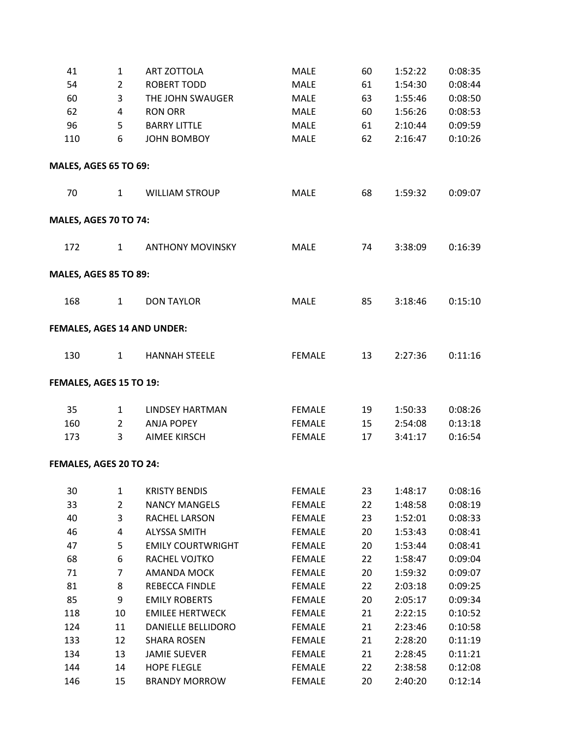| 41                           | $\mathbf{1}$   | <b>ART ZOTTOLA</b>          | MALE          | 60 | 1:52:22 | 0:08:35 |
|------------------------------|----------------|-----------------------------|---------------|----|---------|---------|
| 54                           | $\overline{2}$ | <b>ROBERT TODD</b>          | <b>MALE</b>   | 61 | 1:54:30 | 0:08:44 |
| 60                           | 3              | THE JOHN SWAUGER            | <b>MALE</b>   | 63 | 1:55:46 | 0:08:50 |
| 62                           | 4              | <b>RON ORR</b>              | <b>MALE</b>   | 60 | 1:56:26 | 0:08:53 |
| 96                           | 5              | <b>BARRY LITTLE</b>         | <b>MALE</b>   | 61 | 2:10:44 | 0:09:59 |
| 110                          | 6              | <b>JOHN BOMBOY</b>          | <b>MALE</b>   | 62 | 2:16:47 | 0:10:26 |
| <b>MALES, AGES 65 TO 69:</b> |                |                             |               |    |         |         |
| 70                           | $\mathbf{1}$   | <b>WILLIAM STROUP</b>       | <b>MALE</b>   | 68 | 1:59:32 | 0:09:07 |
| <b>MALES, AGES 70 TO 74:</b> |                |                             |               |    |         |         |
| 172                          | $\mathbf{1}$   | <b>ANTHONY MOVINSKY</b>     | <b>MALE</b>   | 74 | 3:38:09 | 0:16:39 |
| <b>MALES, AGES 85 TO 89:</b> |                |                             |               |    |         |         |
| 168                          | $\mathbf{1}$   | <b>DON TAYLOR</b>           | <b>MALE</b>   | 85 | 3:18:46 | 0:15:10 |
|                              |                | FEMALES, AGES 14 AND UNDER: |               |    |         |         |
| 130                          | $\mathbf{1}$   | <b>HANNAH STEELE</b>        | <b>FEMALE</b> | 13 | 2:27:36 | 0:11:16 |
| FEMALES, AGES 15 TO 19:      |                |                             |               |    |         |         |
| 35                           | $\mathbf{1}$   | <b>LINDSEY HARTMAN</b>      | <b>FEMALE</b> | 19 | 1:50:33 | 0:08:26 |
| 160                          | $\overline{2}$ | <b>ANJA POPEY</b>           | <b>FEMALE</b> | 15 | 2:54:08 | 0:13:18 |
| 173                          | 3              | <b>AIMEE KIRSCH</b>         | <b>FEMALE</b> | 17 | 3:41:17 | 0:16:54 |
| FEMALES, AGES 20 TO 24:      |                |                             |               |    |         |         |
| 30                           | $\mathbf{1}$   | <b>KRISTY BENDIS</b>        | <b>FEMALE</b> | 23 | 1:48:17 | 0:08:16 |
| 33                           | $\overline{2}$ | <b>NANCY MANGELS</b>        | <b>FEMALE</b> | 22 | 1:48:58 | 0:08:19 |
| 40                           | 3              | RACHEL LARSON               | <b>FEMALE</b> | 23 | 1:52:01 | 0:08:33 |
| 46                           | 4              | <b>ALYSSA SMITH</b>         | <b>FEMALE</b> | 20 | 1:53:43 | 0:08:41 |
| 47                           | 5              | <b>EMILY COURTWRIGHT</b>    | <b>FEMALE</b> | 20 | 1:53:44 | 0:08:41 |
| 68                           | 6              | RACHEL VOJTKO               | <b>FEMALE</b> | 22 | 1:58:47 | 0:09:04 |
| 71                           | $\overline{7}$ | AMANDA MOCK                 | <b>FEMALE</b> | 20 | 1:59:32 | 0:09:07 |
| 81                           | 8              | REBECCA FINDLE              | <b>FEMALE</b> | 22 | 2:03:18 | 0:09:25 |
| 85                           | 9              | <b>EMILY ROBERTS</b>        | <b>FEMALE</b> | 20 | 2:05:17 | 0:09:34 |
| 118                          | 10             | <b>EMILEE HERTWECK</b>      | <b>FEMALE</b> | 21 | 2:22:15 | 0:10:52 |
| 124                          | 11             | DANIELLE BELLIDORO          | <b>FEMALE</b> | 21 | 2:23:46 | 0:10:58 |
| 133                          | 12             | <b>SHARA ROSEN</b>          | <b>FEMALE</b> | 21 | 2:28:20 | 0:11:19 |
| 134                          | 13             | <b>JAMIE SUEVER</b>         | <b>FEMALE</b> | 21 | 2:28:45 | 0:11:21 |
| 144                          | 14             | <b>HOPE FLEGLE</b>          | <b>FEMALE</b> | 22 | 2:38:58 | 0:12:08 |
| 146                          | 15             | <b>BRANDY MORROW</b>        | <b>FEMALE</b> | 20 | 2:40:20 | 0:12:14 |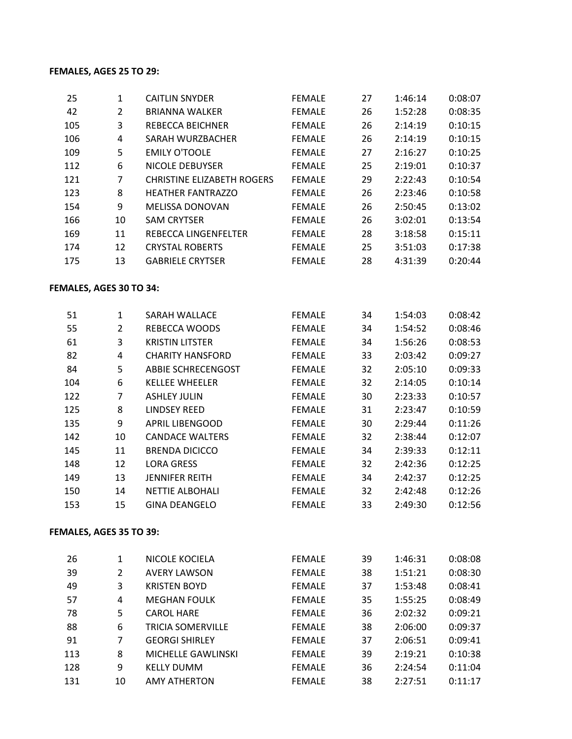## **FEMALES, AGES 25 TO 29:**

| 25                      | $\mathbf{1}$   | <b>CAITLIN SNYDER</b>             | <b>FEMALE</b> | 27 | 1:46:14 | 0:08:07 |
|-------------------------|----------------|-----------------------------------|---------------|----|---------|---------|
| 42                      | $\overline{2}$ | <b>BRIANNA WALKER</b>             | <b>FEMALE</b> | 26 | 1:52:28 | 0:08:35 |
| 105                     | 3              | <b>REBECCA BEICHNER</b>           | <b>FEMALE</b> | 26 | 2:14:19 | 0:10:15 |
| 106                     | 4              | SARAH WURZBACHER                  | <b>FEMALE</b> | 26 | 2:14:19 | 0:10:15 |
| 109                     | 5              | <b>EMILY O'TOOLE</b>              | <b>FEMALE</b> | 27 | 2:16:27 | 0:10:25 |
| 112                     | 6              | NICOLE DEBUYSER                   | <b>FEMALE</b> | 25 | 2:19:01 | 0:10:37 |
| 121                     | $\overline{7}$ | <b>CHRISTINE ELIZABETH ROGERS</b> | <b>FEMALE</b> | 29 | 2:22:43 | 0:10:54 |
| 123                     | 8              | <b>HEATHER FANTRAZZO</b>          | <b>FEMALE</b> | 26 | 2:23:46 | 0:10:58 |
| 154                     | 9              | <b>MELISSA DONOVAN</b>            | <b>FEMALE</b> | 26 | 2:50:45 | 0:13:02 |
| 166                     | 10             | <b>SAM CRYTSER</b>                | <b>FEMALE</b> | 26 | 3:02:01 | 0:13:54 |
| 169                     | 11             | REBECCA LINGENFELTER              | <b>FEMALE</b> | 28 | 3:18:58 | 0:15:11 |
| 174                     | 12             | <b>CRYSTAL ROBERTS</b>            | <b>FEMALE</b> | 25 | 3:51:03 | 0:17:38 |
| 175                     | 13             | <b>GABRIELE CRYTSER</b>           | <b>FEMALE</b> | 28 | 4:31:39 | 0:20:44 |
| FEMALES, AGES 30 TO 34: |                |                                   |               |    |         |         |
| 51                      | $\mathbf{1}$   | SARAH WALLACE                     | <b>FEMALE</b> | 34 | 1:54:03 | 0:08:42 |
| 55                      | $\overline{2}$ | <b>REBECCA WOODS</b>              | <b>FEMALE</b> | 34 | 1:54:52 | 0:08:46 |
| 61                      | 3              | <b>KRISTIN LITSTER</b>            | <b>FEMALE</b> | 34 | 1:56:26 | 0:08:53 |
| 82                      | 4              | <b>CHARITY HANSFORD</b>           | <b>FEMALE</b> | 33 | 2:03:42 | 0:09:27 |
| 84                      | 5              | <b>ABBIE SCHRECENGOST</b>         | <b>FEMALE</b> | 32 | 2:05:10 | 0:09:33 |
| 104                     | 6              | <b>KELLEE WHEELER</b>             | <b>FEMALE</b> | 32 | 2:14:05 | 0:10:14 |
| 122                     | $\overline{7}$ | <b>ASHLEY JULIN</b>               | <b>FEMALE</b> | 30 | 2:23:33 | 0:10:57 |
| 125                     | 8              | <b>LINDSEY REED</b>               | <b>FEMALE</b> | 31 | 2:23:47 | 0:10:59 |
| 135                     | 9              | <b>APRIL LIBENGOOD</b>            | <b>FEMALE</b> | 30 | 2:29:44 | 0:11:26 |
| 142                     | 10             | <b>CANDACE WALTERS</b>            | <b>FEMALE</b> | 32 | 2:38:44 | 0:12:07 |
| 145                     | 11             | <b>BRENDA DICICCO</b>             | <b>FEMALE</b> | 34 | 2:39:33 | 0:12:11 |
| 148                     | 12             | <b>LORA GRESS</b>                 | <b>FEMALE</b> | 32 | 2:42:36 | 0:12:25 |
| 149                     | 13             | <b>JENNIFER REITH</b>             | <b>FEMALE</b> | 34 | 2:42:37 | 0:12:25 |
| 150                     | 14             | <b>NETTIE ALBOHALI</b>            | <b>FEMALE</b> | 32 | 2:42:48 | 0:12:26 |
| 153                     | 15             | <b>GINA DEANGELO</b>              | <b>FEMALE</b> | 33 | 2:49:30 | 0:12:56 |
|                         |                |                                   |               |    |         |         |

# **FEMALES, AGES 35 TO 39:**

| 26  | 1  | NICOLE KOCIELA            | <b>FEMALE</b> | 39 | 1:46:31 | 0:08:08 |
|-----|----|---------------------------|---------------|----|---------|---------|
| 39  | 2  | <b>AVERY LAWSON</b>       | <b>FEMALE</b> | 38 | 1:51:21 | 0:08:30 |
| 49  | 3  | <b>KRISTEN BOYD</b>       | <b>FEMALE</b> | 37 | 1:53:48 | 0:08:41 |
| 57  | 4  | <b>MEGHAN FOULK</b>       | <b>FEMALE</b> | 35 | 1:55:25 | 0:08:49 |
| 78  | 5  | <b>CAROL HARE</b>         | <b>FEMALE</b> | 36 | 2:02:32 | 0:09:21 |
| 88  | 6  | <b>TRICIA SOMERVILLE</b>  | <b>FEMALE</b> | 38 | 2:06:00 | 0:09:37 |
| 91  | 7  | <b>GEORGI SHIRLEY</b>     | <b>FEMALE</b> | 37 | 2:06:51 | 0:09:41 |
| 113 | 8  | <b>MICHELLE GAWLINSKI</b> | <b>FEMALE</b> | 39 | 2:19:21 | 0:10:38 |
| 128 | 9  | <b>KELLY DUMM</b>         | <b>FEMALE</b> | 36 | 2:24:54 | 0:11:04 |
| 131 | 10 | <b>AMY ATHERTON</b>       | <b>FEMALE</b> | 38 | 2:27:51 | 0:11:17 |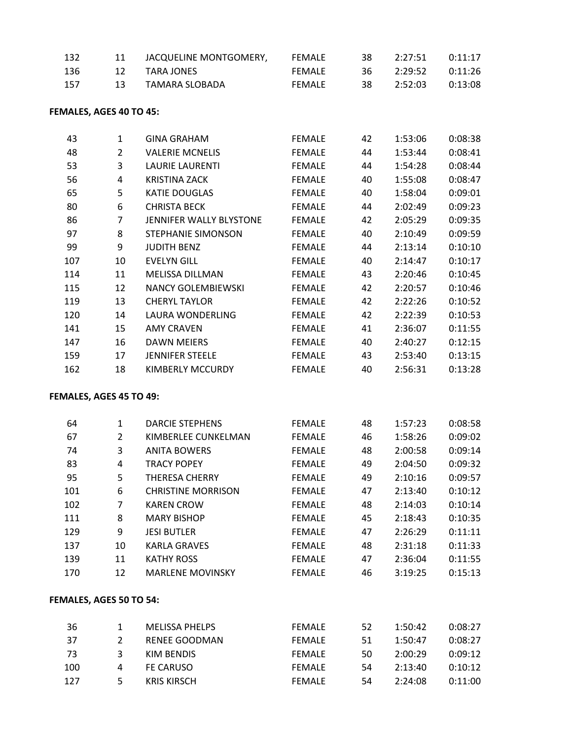| 132  |     | JACQUELINE MONTGOMERY, | FEMALE        | 38   | 2:27:51 | 0:11:17 |
|------|-----|------------------------|---------------|------|---------|---------|
| -136 | 12. | TARA JONES             | FFMALF        | -36- | 2:29:52 | 0:11:26 |
| -157 | 13. | TAMARA SLOBADA         | <b>FFMALF</b> | 38.  | 2:52:03 | 0:13:08 |

#### **FEMALES, AGES 40 TO 45:**

| 43  | 1  | GINA GRAHAM               | <b>FEMALE</b> | 42 | 1:53:06 | 0:08:38 |
|-----|----|---------------------------|---------------|----|---------|---------|
| 48  | 2  | <b>VALERIE MCNELIS</b>    | <b>FEMALE</b> | 44 | 1:53:44 | 0:08:41 |
| 53  | 3  | <b>LAURIE LAURENTI</b>    | <b>FEMALE</b> | 44 | 1:54:28 | 0:08:44 |
| 56  | 4  | KRISTINA ZACK             | <b>FEMALE</b> | 40 | 1:55:08 | 0:08:47 |
| 65  | 5  | <b>KATIE DOUGLAS</b>      | <b>FEMALE</b> | 40 | 1:58:04 | 0:09:01 |
| 80  | 6  | <b>CHRISTA BECK</b>       | <b>FEMALE</b> | 44 | 2:02:49 | 0:09:23 |
| 86  | 7  | JENNIFER WALLY BLYSTONE   | <b>FEMALE</b> | 42 | 2:05:29 | 0:09:35 |
| 97  | 8  | STEPHANIE SIMONSON        | <b>FEMALE</b> | 40 | 2:10:49 | 0:09:59 |
| 99  | 9  | <b>JUDITH BENZ</b>        | <b>FEMALE</b> | 44 | 2:13:14 | 0:10:10 |
| 107 | 10 | <b>EVELYN GILL</b>        | <b>FEMALE</b> | 40 | 2:14:47 | 0:10:17 |
| 114 | 11 | <b>MELISSA DILLMAN</b>    | <b>FEMALE</b> | 43 | 2:20:46 | 0:10:45 |
| 115 | 12 | <b>NANCY GOLEMBIEWSKI</b> | <b>FEMALE</b> | 42 | 2:20:57 | 0:10:46 |
| 119 | 13 | <b>CHERYL TAYLOR</b>      | <b>FEMALE</b> | 42 | 2:22:26 | 0:10:52 |
| 120 | 14 | LAURA WONDERLING          | <b>FEMALE</b> | 42 | 2:22:39 | 0:10:53 |
| 141 | 15 | <b>AMY CRAVEN</b>         | <b>FEMALE</b> | 41 | 2:36:07 | 0:11:55 |
| 147 | 16 | <b>DAWN MEIERS</b>        | <b>FEMALE</b> | 40 | 2:40:27 | 0:12:15 |
| 159 | 17 | JENNIFER STEELE           | <b>FEMALE</b> | 43 | 2:53:40 | 0:13:15 |
| 162 | 18 | <b>KIMBERLY MCCURDY</b>   | <b>FEMALE</b> | 40 | 2:56:31 | 0:13:28 |

### **FEMALES, AGES 45 TO 49:**

| 64  | 1              | <b>DARCIE STEPHENS</b>    | <b>FEMALE</b> | 48 | 1:57:23 | 0:08:58 |
|-----|----------------|---------------------------|---------------|----|---------|---------|
| 67  | $\overline{2}$ | KIMBERLEE CUNKELMAN       | <b>FEMALE</b> | 46 | 1:58:26 | 0:09:02 |
| 74  | 3              | <b>ANITA BOWERS</b>       | <b>FEMALE</b> | 48 | 2:00:58 | 0:09:14 |
| 83  | 4              | <b>TRACY POPEY</b>        | <b>FEMALE</b> | 49 | 2:04:50 | 0:09:32 |
| 95  | 5              | <b>THERESA CHERRY</b>     | <b>FEMALE</b> | 49 | 2:10:16 | 0:09:57 |
| 101 | 6              | <b>CHRISTINE MORRISON</b> | <b>FEMALE</b> | 47 | 2:13:40 | 0:10:12 |
| 102 | 7              | <b>KAREN CROW</b>         | <b>FEMALE</b> | 48 | 2:14:03 | 0:10:14 |
| 111 | 8              | <b>MARY BISHOP</b>        | <b>FEMALE</b> | 45 | 2:18:43 | 0:10:35 |
| 129 | 9              | <b>JESI BUTLER</b>        | <b>FEMALE</b> | 47 | 2:26:29 | 0:11:11 |
| 137 | 10             | <b>KARLA GRAVES</b>       | <b>FEMALE</b> | 48 | 2:31:18 | 0:11:33 |
| 139 | 11             | <b>KATHY ROSS</b>         | <b>FEMALE</b> | 47 | 2:36:04 | 0:11:55 |
| 170 | 12             | <b>MARLENE MOVINSKY</b>   | <b>FEMALE</b> | 46 | 3:19:25 | 0:15:13 |
|     |                |                           |               |    |         |         |

#### **FEMALES, AGES 50 TO 54:**

| 36  |   | MELISSA PHELPS     | FFMALF        | 52  | 1:50:42 | 0:08:27 |
|-----|---|--------------------|---------------|-----|---------|---------|
| 37  |   | RENEE GOODMAN      | FFMALF        | -51 | 1:50:47 | 0:08:27 |
| -73 | ર | KIM BENDIS         | FFMALF        | 50  | 2:00:29 | 0:09:12 |
| 100 | 4 | FE CARUSO          | <b>FEMALE</b> | 54  | 2:13:40 | 0:10:12 |
| 127 | 5 | <b>KRIS KIRSCH</b> | <b>FFMALF</b> | 54  | 2:24:08 | 0:11:00 |